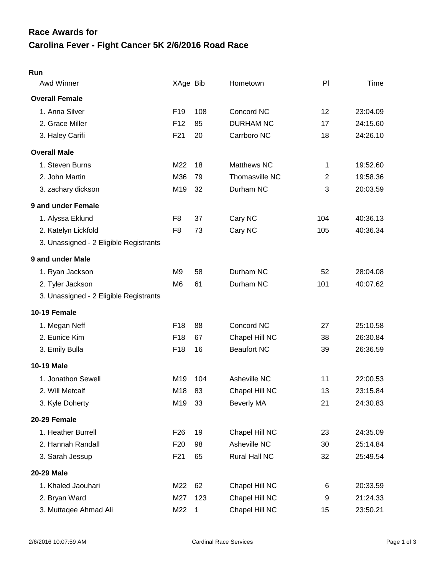## **Carolina Fever - Fight Cancer 5K 2/6/2016 Road Race Race Awards for**

| v |  |
|---|--|

| Awd Winner                             | XAge Bib        |     | Hometown           | PI             | Time     |
|----------------------------------------|-----------------|-----|--------------------|----------------|----------|
| <b>Overall Female</b>                  |                 |     |                    |                |          |
| 1. Anna Silver                         | F <sub>19</sub> | 108 | Concord NC         | 12             | 23:04.09 |
| 2. Grace Miller                        | F <sub>12</sub> | 85  | <b>DURHAM NC</b>   | 17             | 24:15.60 |
| 3. Haley Carifi                        | F <sub>21</sub> | 20  | Carrboro NC        | 18             | 24:26.10 |
| <b>Overall Male</b>                    |                 |     |                    |                |          |
| 1. Steven Burns                        | M22             | 18  | Matthews NC        | 1              | 19:52.60 |
| 2. John Martin                         | M36             | 79  | Thomasville NC     | $\overline{2}$ | 19:58.36 |
| 3. zachary dickson                     | M19             | 32  | Durham NC          | 3              | 20:03.59 |
| 9 and under Female                     |                 |     |                    |                |          |
| 1. Alyssa Eklund                       | F <sub>8</sub>  | 37  | Cary NC            | 104            | 40:36.13 |
| 2. Katelyn Lickfold                    | F <sub>8</sub>  | 73  | Cary NC            | 105            | 40:36.34 |
| 3. Unassigned - 2 Eligible Registrants |                 |     |                    |                |          |
| 9 and under Male                       |                 |     |                    |                |          |
| 1. Ryan Jackson                        | M9              | 58  | Durham NC          | 52             | 28:04.08 |
| 2. Tyler Jackson                       | M6              | 61  | Durham NC          | 101            | 40:07.62 |
| 3. Unassigned - 2 Eligible Registrants |                 |     |                    |                |          |
| 10-19 Female                           |                 |     |                    |                |          |
| 1. Megan Neff                          | F <sub>18</sub> | 88  | Concord NC         | 27             | 25:10.58 |
| 2. Eunice Kim                          | F18             | 67  | Chapel Hill NC     | 38             | 26:30.84 |
| 3. Emily Bulla                         | F <sub>18</sub> | 16  | <b>Beaufort NC</b> | 39             | 26:36.59 |
| <b>10-19 Male</b>                      |                 |     |                    |                |          |
| 1. Jonathon Sewell                     | M19             | 104 | Asheville NC       | 11             | 22:00.53 |
| 2. Will Metcalf                        | M18             | 83  | Chapel Hill NC     | 13             | 23:15.84 |
| 3. Kyle Doherty                        | M19             | 33  | Beverly MA         | 21             | 24:30.83 |
| 20-29 Female                           |                 |     |                    |                |          |
| 1. Heather Burrell                     | F <sub>26</sub> | 19  | Chapel Hill NC     | 23             | 24:35.09 |
| 2. Hannah Randall                      | F <sub>20</sub> | 98  | Asheville NC       | 30             | 25:14.84 |
| 3. Sarah Jessup                        | F21             | 65  | Rural Hall NC      | 32             | 25:49.54 |
| 20-29 Male                             |                 |     |                    |                |          |
| 1. Khaled Jaouhari                     | M22             | 62  | Chapel Hill NC     | 6              | 20:33.59 |
| 2. Bryan Ward                          | M27             | 123 | Chapel Hill NC     | 9              | 21:24.33 |
| 3. Muttaqee Ahmad Ali                  | M22             | 1   | Chapel Hill NC     | 15             | 23:50.21 |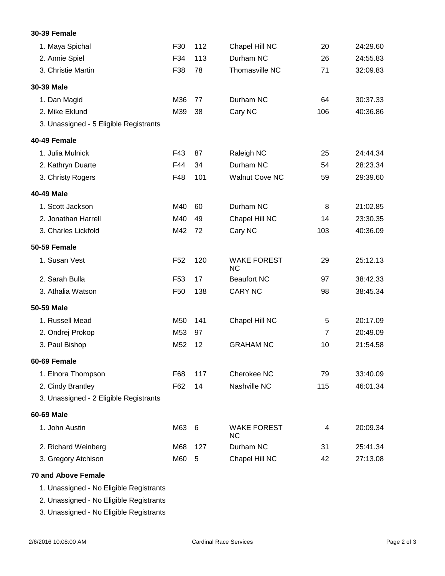## 1. Maya Spichal F30 112 Chapel Hill NC 20 24:29.60 2. Annie Spiel F34 113 Durham NC 26 24:55.83 3. Christie Martin F38 78 Thomasville NC 71 32:09.83 **30-39 Male** 1. Dan Magid M36 77 Durham NC 64 30:37.33 2. Mike Eklund M39 38 Cary NC 106 40:36.86 3. Unassigned - 5 Eligible Registrants **40-49 Female** 1. Julia Mulnick F43 87 Raleigh NC 25 24:44.34 2. Kathryn Duarte F44 34 Durham NC 54 28:23.34 3. Christy Rogers F48 101 Walnut Cove NC 59 29:39.60 **40-49 Male** 1. Scott Jackson M40 60 Durham NC 8 21:02.85 2. Jonathan Harrell M40 49 Chapel Hill NC 14 23:30.35 3. Charles Lickfold M42 72 Cary NC 103 40:36.09 **50-59 Female** 1. Susan Vest F52 WAKE FOREST 29 25:12.13 NC 120 2. Sarah Bulla F53 17 Beaufort NC 97 38:42.33 3. Athalia Watson F50 138 CARY NC 98 38:45.34 **50-59 Male** 1. Russell Mead M50 141 Chapel Hill NC 5 20:17.09 2. Ondrej Prokop M53 97 7 20:49.09 3. Paul Bishop M52 12 GRAHAM NC 10 21:54.58 **60-69 Female** 1. Elnora Thompson F68 117 Cherokee NC 79 33:40.09 2. Cindy Brantley F62 14 Nashville NC 115 46:01.34 3. Unassigned - 2 Eligible Registrants **60-69 Male** 1. John Austin M63 WAKE FOREST 4 20:09.34 NC M63 6 2. Richard Weinberg M68 127 Durham NC 31 25:41.34 3. Gregory Atchison M60 5 Chapel Hill NC 42 27:13.08

## **70 and Above Female**

**30-39 Female**

1. Unassigned - No Eligible Registrants

2. Unassigned - No Eligible Registrants

3. Unassigned - No Eligible Registrants